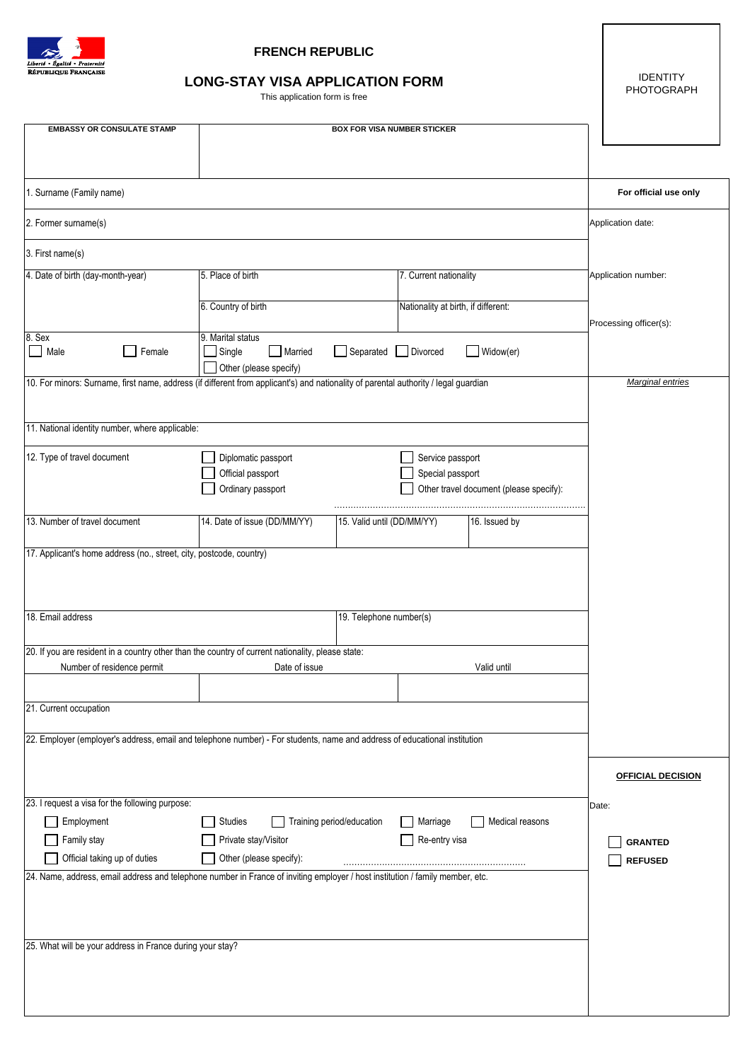

## **FRENCH REPUBLIC**

## **LONG-STAY VISA APPLICATION FORM**

This application form is free

IDENTITY PHOTOGRAPH

| <b>EMBASSY OR CONSULATE STAMP</b>                                                                                                                             | <b>BOX FOR VISA NUMBER STICKER</b>                                                             |                            |                                     |                                         |       |                          |
|---------------------------------------------------------------------------------------------------------------------------------------------------------------|------------------------------------------------------------------------------------------------|----------------------------|-------------------------------------|-----------------------------------------|-------|--------------------------|
|                                                                                                                                                               |                                                                                                |                            |                                     |                                         |       |                          |
|                                                                                                                                                               |                                                                                                |                            |                                     |                                         |       |                          |
| 1. Surname (Family name)                                                                                                                                      |                                                                                                |                            |                                     |                                         |       | For official use only    |
| 2. Former surname(s)                                                                                                                                          |                                                                                                | Application date:          |                                     |                                         |       |                          |
| 3. First name(s)                                                                                                                                              |                                                                                                |                            |                                     |                                         |       |                          |
| 4. Date of birth (day-month-year)                                                                                                                             | 5. Place of birth                                                                              |                            | 7. Current nationality              |                                         |       | Application number:      |
|                                                                                                                                                               | 6. Country of birth                                                                            |                            | Nationality at birth, if different: |                                         |       |                          |
|                                                                                                                                                               |                                                                                                |                            |                                     |                                         |       | Processing officer(s):   |
| 8. Sex<br>Male<br>Female<br>$\overline{\phantom{a}}$                                                                                                          | 9. Marital status<br>Single<br>Married<br>Separated  <br>$\mathsf{I}$<br>Divorced<br>Widow(er) |                            |                                     |                                         |       |                          |
|                                                                                                                                                               | Other (please specify)                                                                         |                            |                                     |                                         |       |                          |
| 10. For minors: Surname, first name, address (if different from applicant's) and nationality of parental authority / legal guardian                           |                                                                                                | Marginal entries           |                                     |                                         |       |                          |
|                                                                                                                                                               |                                                                                                |                            |                                     |                                         |       |                          |
| 11. National identity number, where applicable:                                                                                                               |                                                                                                |                            |                                     |                                         |       |                          |
| 12. Type of travel document                                                                                                                                   | Diplomatic passport                                                                            |                            | Service passport                    |                                         |       |                          |
|                                                                                                                                                               | Official passport                                                                              |                            | Special passport                    |                                         |       |                          |
|                                                                                                                                                               | Ordinary passport                                                                              |                            |                                     | Other travel document (please specify): |       |                          |
| 13. Number of travel document                                                                                                                                 | 14. Date of issue (DD/MM/YY)                                                                   | 15. Valid until (DD/MM/YY) |                                     | 16. Issued by                           |       |                          |
| 17. Applicant's home address (no., street, city, postcode, country)                                                                                           |                                                                                                |                            |                                     |                                         |       |                          |
|                                                                                                                                                               |                                                                                                |                            |                                     |                                         |       |                          |
|                                                                                                                                                               |                                                                                                |                            |                                     |                                         |       |                          |
| 18. Email address                                                                                                                                             |                                                                                                |                            |                                     |                                         |       |                          |
| 19. Telephone number(s)                                                                                                                                       |                                                                                                |                            |                                     |                                         |       |                          |
| 20. If you are resident in a country other than the country of current nationality, please state:                                                             |                                                                                                |                            |                                     |                                         |       |                          |
| Number of residence permit<br>Date of issue<br>Valid until                                                                                                    |                                                                                                |                            |                                     |                                         |       |                          |
| 21. Current occupation                                                                                                                                        |                                                                                                |                            |                                     |                                         |       |                          |
|                                                                                                                                                               |                                                                                                |                            |                                     |                                         |       |                          |
| 22. Employer (employer's address, email and telephone number) - For students, name and address of educational institution                                     |                                                                                                |                            |                                     |                                         |       |                          |
|                                                                                                                                                               |                                                                                                |                            |                                     |                                         |       |                          |
|                                                                                                                                                               |                                                                                                |                            |                                     |                                         |       | <b>OFFICIAL DECISION</b> |
| 23. I request a visa for the following purpose:                                                                                                               |                                                                                                |                            |                                     |                                         | Date: |                          |
| Employment                                                                                                                                                    | Training period/education<br>Studies                                                           |                            | Marriage                            | Medical reasons                         |       |                          |
| Family stay                                                                                                                                                   | Private stay/Visitor<br>Other (please specify):                                                |                            | Re-entry visa                       |                                         |       | <b>GRANTED</b>           |
| Official taking up of duties<br>24. Name, address, email address and telephone number in France of inviting employer / host institution / family member, etc. |                                                                                                | <b>REFUSED</b>             |                                     |                                         |       |                          |
|                                                                                                                                                               |                                                                                                |                            |                                     |                                         |       |                          |
|                                                                                                                                                               |                                                                                                |                            |                                     |                                         |       |                          |
|                                                                                                                                                               |                                                                                                |                            |                                     |                                         |       |                          |
| 25. What will be your address in France during your stay?                                                                                                     |                                                                                                |                            |                                     |                                         |       |                          |
|                                                                                                                                                               |                                                                                                |                            |                                     |                                         |       |                          |
|                                                                                                                                                               |                                                                                                |                            |                                     |                                         |       |                          |
|                                                                                                                                                               |                                                                                                |                            |                                     |                                         |       |                          |